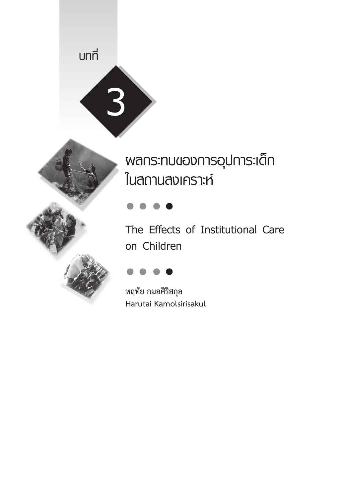# **บทที่**



# **ผลกระทบของการอุปการะเด็ก ในสถานสงเคราะห์**

**The Effects of Institutional Care on Children**



**หฤทัย กมลศิริสกุล Harutai Kamolsirisakul**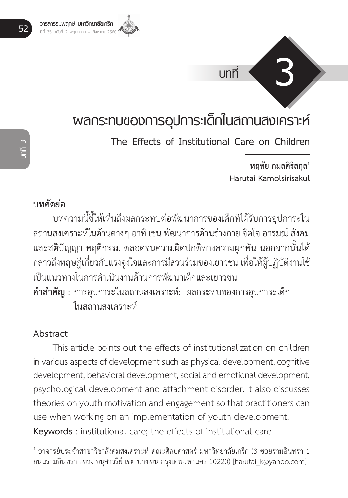

# **ผลกระทบของการอุปการะเด็กในสถานสงเคราะห์**

**The Effects of Institutional Care on Children**

**หฤทัย กมลศิริสกุล<sup>1</sup> Harutai Kamolsirisakul**

**บทที่ 3**

## **บทคัดย่อ**

บทความนี้ชี้ให้เห็นถึงผลกระทบต่อพัฒนาการของเด็กที่ได้รับการอุปการะใน สถานสงเคราะห์ในด้านต่างๆ อาทิ เช่น พัฒนาการด้านร่างกาย จิตใจ อารมณ์ สังคม และสติปัญญา พฤติกรรม ตลอดจนความผิดปกติทางความผูกพัน นอกจากนั้นได้ กล่าวถึงทฤษฎีเกี่ยวกับแรงจูงใจและการมีส่วนร่วมของเยาวชน เพื่อให้ผู้ปฏิบัติงานใช้ เป็นแนวทางในการด�ำเนินงานด้านการพัฒนาเด็กและเยาวชน **ค�ำส�ำคัญ** : การอุปการะในสถานสงเคราะห์; ผลกระทบของการอุปการะเด็ก ในสถานสงเคราะห์

#### **Abstract**

This article points out the effects of institutionalization on children in various aspects of development such as physical development, cognitive development, behavioral development, social and emotional development, psychological development and attachment disorder. It also discusses theories on youth motivation and engagement so that practitioners can use when working on an implementation of youth development. **Keywords** : institutional care; the effects of institutional care

 $^{\rm 1}$  อาจารย์ประจำสาขาวิชาสังคมสงเคราะห์ คณะศิลปศาสตร์ มหาวิทยาลัยเกริก (3 ซอยรามอินทรา 1 ถนนรามอินทรา แขวง อนุสาวรีย์ เขต บางเขน กรุงเทพมหานคร 10220) [harutai\_k@yahoo.com]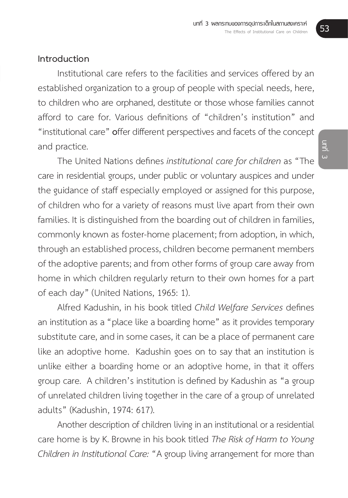### **Introduction**

Institutional care refers to the facilities and services offered by an established organization to a group of people with special needs, here, to children who are orphaned, destitute or those whose families cannot afford to care for. Various definitions of "children's institution" and "institutional care" **o**ffer different perspectives and facets of the concept and practice.

The United Nations defines *institutional care for children* as "The care in residential groups, under public or voluntary auspices and under the guidance of staff especially employed or assigned for this purpose, of children who for a variety of reasons must live apart from their own families. It is distinguished from the boarding out of children in families, commonly known as foster-home placement; from adoption, in which, through an established process, children become permanent members of the adoptive parents; and from other forms of group care away from home in which children regularly return to their own homes for a part of each day" (United Nations, 1965: 1).

Alfred Kadushin, in his book titled *Child Welfare Services* defines an institution as a "place like a boarding home" as it provides temporary substitute care, and in some cases, it can be a place of permanent care like an adoptive home. Kadushin goes on to say that an institution is unlike either a boarding home or an adoptive home, in that it offers group care. A children's institution is defined by Kadushin as "a group of unrelated children living together in the care of a group of unrelated adults" (Kadushin, 1974: 617).

Another description of children living in an institutional or a residential care home is by K. Browne in his book titled *The Risk of Harm to Young Children in Institutional Care:* "A group living arrangement for more than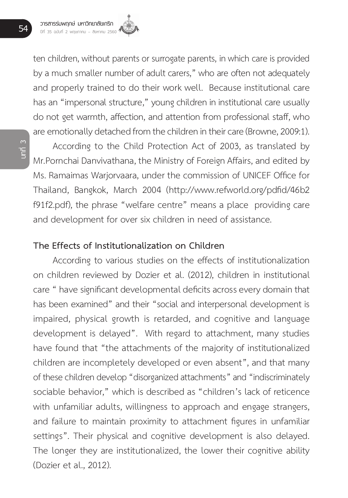ten children, without parents or surrogate parents, in which care is provided by a much smaller number of adult carers," who are often not adequately and properly trained to do their work well. Because institutional care has an "impersonal structure," young children in institutional care usually do not get warmth, affection, and attention from professional staff, who are emotionally detached from the children in their care (Browne, 2009:1).

**บทที่ 3**

According to the Child Protection Act of 2003, as translated by Mr.Pornchai Danvivathana, the Ministry of Foreign Affairs, and edited by Ms. Ramaimas Warjorvaara, under the commission of UNICEF Office for Thailand, Bangkok, March 2004 (http://www.refworld.org/pdfid/46b2 f91f2.pdf), the phrase "welfare centre" means a place providing care and development for over six children in need of assistance.

#### **The Effects of Institutionalization on Children**

According to various studies on the effects of institutionalization on children reviewed by Dozier et al. (2012), children in institutional care " have significant developmental deficits across every domain that has been examined" and their "social and interpersonal development is impaired, physical growth is retarded, and cognitive and language development is delayed". With regard to attachment, many studies have found that "the attachments of the majority of institutionalized children are incompletely developed or even absent", and that many of these children develop "disorganized attachments" and "indiscriminately sociable behavior," which is described as "children's lack of reticence with unfamiliar adults, willingness to approach and engage strangers, and failure to maintain proximity to attachment figures in unfamiliar settings". Their physical and cognitive development is also delayed. The longer they are institutionalized, the lower their cognitive ability (Dozier et al., 2012).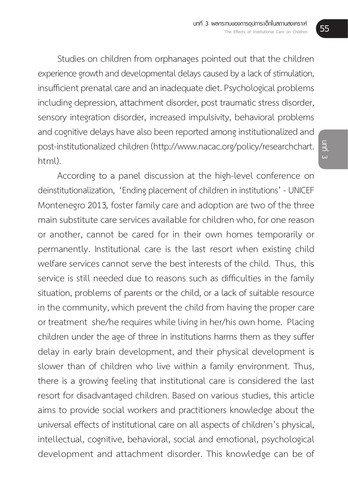Studies on children from orphanages pointed out that the children experience growth and developmental delays caused by a lack of stimulation, insufficient prenatal care and an inadequate diet. Psychological problems including depression, attachment disorder, post traumatic stress disorder, sensory integration disorder, increased impulsivity, behavioral problems and cognitive delays have also been reported among institutionalized and post-institutionalized children (http://www.nacac.org/policy/researchchart. html)

According to a panel discussion at the high-level conference on deinstitutionalization, 'Ending placement of children in institutions' - UNICEF Montenegro 2013*,* foster family care and adoption are two of the three main substitute care services available for children who, for one reason or another, cannot be cared for in their own homes temporarily or permanently. Institutional care is the last resort when existing child welfare services cannot serve the best interests of the child. Thus, this service is still needed due to reasons such as difficulties in the family situation, problems of parents or the child, or a lack of suitable resource in the community, which prevent the child from having the proper care or treatment she/he requires while living in her/his own home. Placing children under the age of three in institutions harms them as they suffer delay in early brain development, and their physical development is slower than of children who live within a family environment. Thus, there is a growing feeling that institutional care is considered the last resort for disadvantaged children. Based on various studies, this article aims to provide social workers and practitioners knowledge about the universal effects of institutional care on all aspects of children's physical, intellectual, cognitive, behavioral, social and emotional, psychological development and attachment disorder. This knowledge can be of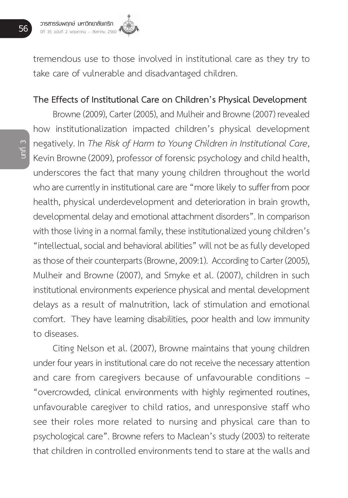

tremendous use to those involved in institutional care as they try to take care of vulnerable and disadvantaged children.

#### **The Effects of Institutional Care on Children's Physical Development**

**บทที่ 3**

Browne (2009), Carter (2005), and Mulheir and Browne (2007) revealed how institutionalization impacted children's physical development negatively. In *The Risk of Harm to Young Children in Institutional Care*, Kevin Browne (2009), professor of forensic psychology and child health, underscores the fact that many young children throughout the world who are currently in institutional care are "more likely to suffer from poor health, physical underdevelopment and deterioration in brain growth, developmental delay and emotional attachment disorders". In comparison with those living in a normal family, these institutionalized young children's "intellectual, social and behavioral abilities" will not be as fully developed as those of their counterparts (Browne, 2009:1). According to Carter (2005), Mulheir and Browne (2007), and Smyke et al. (2007), children in such institutional environments experience physical and mental development delays as a result of malnutrition, lack of stimulation and emotional comfort. They have learning disabilities, poor health and low immunity to diseases.

Citing Nelson et al. (2007), Browne maintains that young children under four years in institutional care do not receive the necessary attention and care from caregivers because of unfavourable conditions – "overcrowded, clinical environments with highly regimented routines, unfavourable caregiver to child ratios, and unresponsive staff who see their roles more related to nursing and physical care than to psychological care". Browne refers to Maclean's study (2003) to reiterate that children in controlled environments tend to stare at the walls and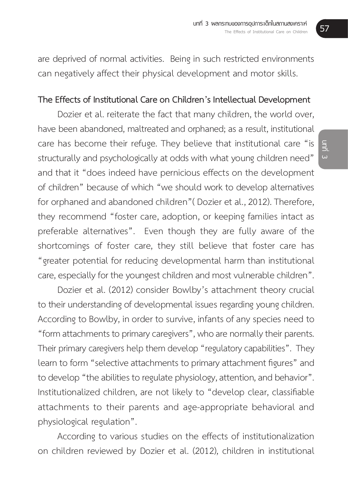are deprived of normal activities. Being in such restricted environments can negatively affect their physical development and motor skills.

#### **The Effects of Institutional Care on Children's Intellectual Development**

Dozier et al. reiterate the fact that many children, the world over, have been abandoned, maltreated and orphaned; as a result, institutional care has become their refuge. They believe that institutional care "is structurally and psychologically at odds with what young children need" and that it "does indeed have pernicious effects on the development of children" because of which "we should work to develop alternatives for orphaned and abandoned children"( Dozier et al., 2012). Therefore, they recommend "foster care, adoption, or keeping families intact as preferable alternatives". Even though they are fully aware of the shortcomings of foster care, they still believe that foster care has "greater potential for reducing developmental harm than institutional care, especially for the youngest children and most vulnerable children".

Dozier et al. (2012) consider Bowlby's attachment theory crucial to their understanding of developmental issues regarding young children. According to Bowlby, in order to survive, infants of any species need to "form attachments to primary caregivers", who are normally their parents. Their primary caregivers help them develop "regulatory capabilities". They learn to form "selective attachments to primary attachment figures" and to develop "the abilities to regulate physiology, attention, and behavior". Institutionalized children, are not likely to "develop clear, classifiable attachments to their parents and age-appropriate behavioral and physiological regulation".

According to various studies on the effects of institutionalization on children reviewed by Dozier et al. (2012), children in institutional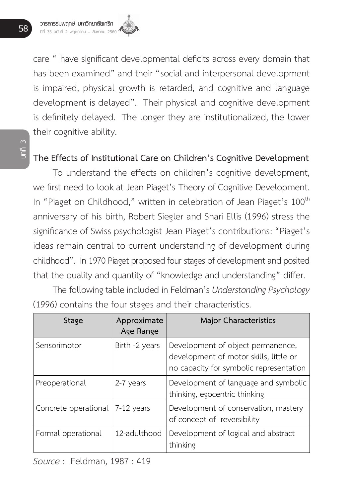care " have significant developmental deficits across every domain that has been examined" and their "social and interpersonal development is impaired, physical growth is retarded, and cognitive and language development is delayed". Their physical and cognitive development is definitely delayed. The longer they are institutionalized, the lower their cognitive ability.

## **The Effects of Institutional Care on Children's Cognitive Development**

To understand the effects on children's cognitive development, we first need to look at Jean Piaget's Theory of Cognitive Development. In "Piaget on Childhood," written in celebration of Jean Piaget's 100<sup>th</sup> anniversary of his birth, Robert Siegler and Shari Ellis (1996) stress the significance of Swiss psychologist Jean Piaget's contributions: "Piaget's ideas remain central to current understanding of development during childhood". In 1970 Piaget proposed four stages of development and posited that the quality and quantity of "knowledge and understanding" differ.

The following table included in Feldman's *Understanding Psychology* (1996) contains the four stages and their characteristics.

| Stage                | Approximate<br>Age Range | Major Characteristics                                                                                                  |
|----------------------|--------------------------|------------------------------------------------------------------------------------------------------------------------|
| Sensorimotor         | Birth -2 years           | Development of object permanence,<br>development of motor skills, little or<br>no capacity for symbolic representation |
| Preoperational       | 2-7 years                | Development of language and symbolic<br>thinking, egocentric thinking                                                  |
| Concrete operational | 7-12 years               | Development of conservation, mastery<br>of concept of reversibility                                                    |
| Formal operational   | 12-adulthood             | Development of logical and abstract<br>thinking                                                                        |

**บทที่ 3**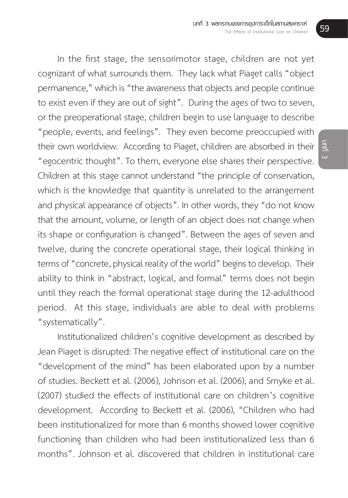In the first stage, the sensorimotor stage, children are not yet cognizant of what surrounds them. They lack what Piaget calls "object permanence," which is "the awareness that objects and people continue to exist even if they are out of sight". During the ages of two to seven, or the preoperational stage, children begin to use language to describe "people, events, and feelings". They even become preoccupied with their own worldview. According to Piaget, children are absorbed in their "egocentric thought". To them, everyone else shares their perspective. Children at this stage cannot understand "the principle of conservation, which is the knowledge that quantity is unrelated to the arrangement and physical appearance of objects". In other words, they "do not know that the amount, volume, or length of an object does not change when its shape or configuration is changed". Between the ages of seven and twelve, during the concrete operational stage, their logical thinking in terms of "concrete, physical reality of the world" begins to develop. Their ability to think in "abstract, logical, and formal" terms does not begin until they reach the formal operational stage during the 12-adulthood period. At this stage, individuals are able to deal with problems "systematically".

Institutionalized children's cognitive development as described by Jean Piaget is disrupted: The negative effect of institutional care on the "development of the mind" has been elaborated upon by a number of studies. Beckett et al. (2006), Johnson et al. (2006), and Smyke et al. (2007) studied the effects of institutional care on children's cognitive development. According to Beckett et al. (2006), "Children who had been institutionalized for more than 6 months showed lower cognitive functioning than children who had been institutionalized less than 6 months". Johnson et al. discovered that children in institutional care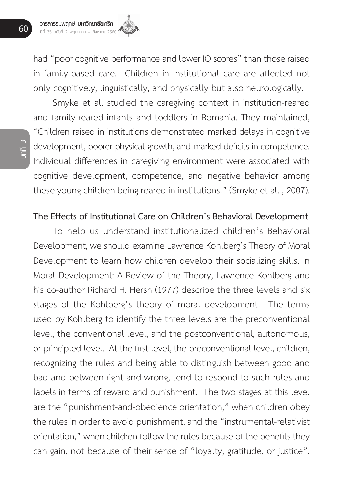had "poor cognitive performance and lower IO scores" than those raised in family-based care. Children in institutional care are affected not only cognitively, linguistically, and physically but also neurologically.

Smyke et al. studied the caregiving context in institution-reared and family-reared infants and toddlers in Romania. They maintained, "Children raised in institutions demonstrated marked delays in cognitive development, poorer physical growth, and marked deficits in competence. Individual differences in caregiving environment were associated with cognitive development, competence, and negative behavior among these young children being reared in institutions." (Smyke et al. , 2007).

#### **The Effects of Institutional Care on Children's Behavioral Development**

To help us understand institutionalized children's Behavioral Development, we should examine Lawrence Kohlberg's Theory of Moral Development to learn how children develop their socializing skills. In Moral Development: A Review of the Theory, Lawrence Kohlberg and his co-author Richard H. Hersh (1977) describe the three levels and six stages of the Kohlberg's theory of moral development. The terms used by Kohlberg to identify the three levels are the preconventional level, the conventional level, and the postconventional, autonomous, or principled level. At the first level, the preconventional level, children, recognizing the rules and being able to distinguish between good and bad and between right and wrong, tend to respond to such rules and labels in terms of reward and punishment. The two stages at this level are the "punishment-and-obedience orientation," when children obey the rules in order to avoid punishment, and the "instrumental-relativist orientation," when children follow the rules because of the benefits they can gain, not because of their sense of "loyalty, gratitude, or justice".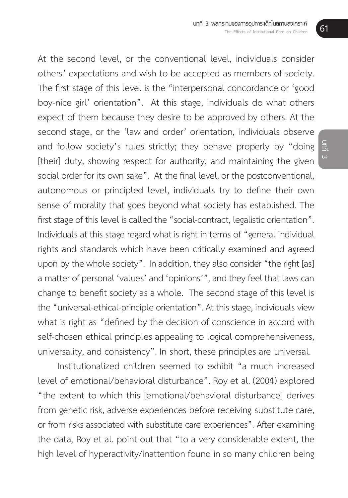At the second level, or the conventional level, individuals consider others' expectations and wish to be accepted as members of society. The first stage of this level is the "interpersonal concordance or 'good boy-nice girl' orientation". At this stage, individuals do what others expect of them because they desire to be approved by others. At the second stage, or the 'law and order' orientation, individuals observe and follow society's rules strictly; they behave properly by "doing [their] duty, showing respect for authority, and maintaining the given social order for its own sake". At the final level, or the postconventional, autonomous or principled level, individuals try to define their own sense of morality that goes beyond what society has established. The first stage of this level is called the "social-contract, legalistic orientation". Individuals at this stage regard what is right in terms of "general individual rights and standards which have been critically examined and agreed upon by the whole society". In addition, they also consider "the right [as] a matter of personal 'values' and 'opinions'", and they feel that laws can change to benefit society as a whole. The second stage of this level is the "universal-ethical-principle orientation". At this stage, individuals view what is right as "defined by the decision of conscience in accord with self-chosen ethical principles appealing to logical comprehensiveness, universality, and consistency". In short, these principles are universal.

Institutionalized children seemed to exhibit "a much increased level of emotional/behavioral disturbance". Roy et al. (2004) explored "the extent to which this [emotional/behavioral disturbance] derives from genetic risk, adverse experiences before receiving substitute care, or from risks associated with substitute care experiences". After examining the data, Roy et al. point out that "to a very considerable extent, the high level of hyperactivity/inattention found in so many children being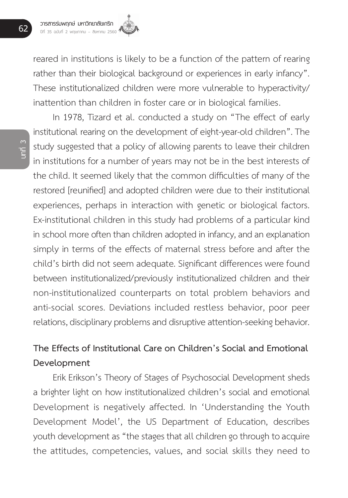

reared in institutions is likely to be a function of the pattern of rearing rather than their biological background or experiences in early infancy". These institutionalized children were more vulnerable to hyperactivity/ inattention than children in foster care or in biological families.

In 1978, Tizard et al. conducted a study on "The effect of early institutional rearing on the development of eight-year-old children". The study suggested that a policy of allowing parents to leave their children in institutions for a number of years may not be in the best interests of the child. It seemed likely that the common difficulties of many of the restored [reunified] and adopted children were due to their institutional experiences, perhaps in interaction with genetic or biological factors. Ex-institutional children in this study had problems of a particular kind in school more often than children adopted in infancy, and an explanation simply in terms of the effects of maternal stress before and after the child's birth did not seem adequate. Significant differences were found between institutionalized/previously institutionalized children and their non-institutionalized counterparts on total problem behaviors and anti-social scores. Deviations included restless behavior, poor peer relations, disciplinary problems and disruptive attention-seeking behavior.

# **The Effects of Institutional Care on Children's Social and Emotional Development**

Erik Erikson's Theory of Stages of Psychosocial Development sheds a brighter light on how institutionalized children's social and emotional Development is negatively affected. In 'Understanding the Youth Development Model', the US Department of Education, describes youth development as "the stages that all children go through to acquire the attitudes, competencies, values, and social skills they need to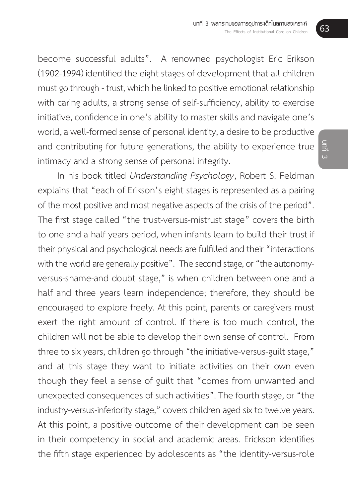become successful adults". A renowned psychologist Eric Erikson (1902-1994) identified the eight stages of development that all children must go through - trust, which he linked to positive emotional relationship with caring adults, a strong sense of self-sufficiency, ability to exercise initiative, confidence in one's ability to master skills and navigate one's world, a well-formed sense of personal identity, a desire to be productive and contributing for future generations, the ability to experience true intimacy and a strong sense of personal integrity.

In his book titled *Understanding Psychology*, Robert S. Feldman explains that "each of Erikson's eight stages is represented as a pairing of the most positive and most negative aspects of the crisis of the period". The first stage called "the trust-versus-mistrust stage" covers the birth to one and a half years period, when infants learn to build their trust if their physical and psychological needs are fulfilled and their "interactions with the world are generally positive". The second stage, or "the autonomyversus-shame-and doubt stage," is when children between one and a half and three years learn independence; therefore, they should be encouraged to explore freely. At this point, parents or caregivers must exert the right amount of control. If there is too much control, the children will not be able to develop their own sense of control. From three to six years, children go through "the initiative-versus-guilt stage," and at this stage they want to initiate activities on their own even though they feel a sense of guilt that "comes from unwanted and unexpected consequences of such activities". The fourth stage, or "the industry-versus-inferiority stage," covers children aged six to twelve years. At this point, a positive outcome of their development can be seen in their competency in social and academic areas. Erickson identifies the fifth stage experienced by adolescents as "the identity-versus-role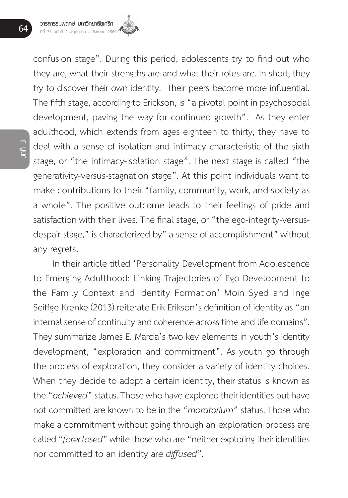

confusion stage". During this period, adolescents try to find out who they are, what their strengths are and what their roles are. In short, they try to discover their own identity. Their peers become more influential. The fifth stage, according to Erickson, is "a pivotal point in psychosocial development, paving the way for continued growth". As they enter adulthood, which extends from ages eighteen to thirty, they have to deal with a sense of isolation and intimacy characteristic of the sixth stage, or "the intimacy-isolation stage". The next stage is called "the generativity-versus-stagnation stage". At this point individuals want to make contributions to their "family, community, work, and society as a whole". The positive outcome leads to their feelings of pride and satisfaction with their lives. The final stage, or "the ego-integrity-versusdespair stage," is characterized by" a sense of accomplishment" without any regrets.

In their article titled 'Personality Development from Adolescence to Emerging Adulthood: Linking Trajectories of Ego Development to the Family Context and Identity Formation' Moin Syed and Inge Seiffge-Krenke (2013) reiterate Erik Erikson's definition of identity as "an internal sense of continuity and coherence across time and life domains". They summarize James E. Marcia's two key elements in youth's identity development, "exploration and commitment". As youth go through the process of exploration, they consider a variety of identity choices. When they decide to adopt a certain identity, their status is known as the "*achieved*" status. Those who have explored their identities but have not committed are known to be in the "*moratorium*" status. Those who make a commitment without going through an exploration process are called "*foreclosed*" while those who are "neither exploring their identities nor committed to an identity are *diffused*".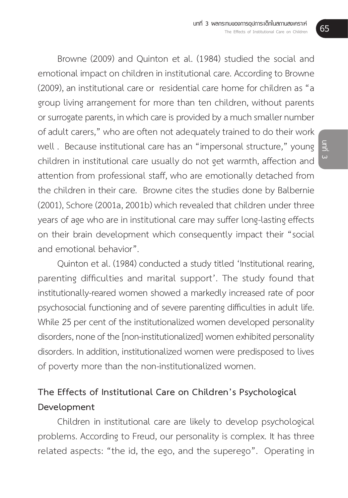Browne (2009) and Quinton et al. (1984) studied the social and emotional impact on children in institutional care. According to Browne (2009), an institutional care or residential care home for children as "a group living arrangement for more than ten children, without parents or surrogate parents, in which care is provided by a much smaller number of adult carers," who are often not adequately trained to do their work well . Because institutional care has an "impersonal structure," young children in institutional care usually do not get warmth, affection and attention from professional staff, who are emotionally detached from the children in their care. Browne cites the studies done by Balbernie (2001), Schore (2001a, 2001b) which revealed that children under three years of age who are in institutional care may suffer long-lasting effects on their brain development which consequently impact their "social and emotional behavior".

Quinton et al. (1984) conducted a study titled 'Institutional rearing, parenting difficulties and marital support'. The study found that institutionally-reared women showed a markedly increased rate of poor psychosocial functioning and of severe parenting difficulties in adult life. While 25 per cent of the institutionalized women developed personality disorders, none of the [non-institutionalized] women exhibited personality disorders. In addition, institutionalized women were predisposed to lives of poverty more than the non-institutionalized women.

## **The Effects of Institutional Care on Children's Psychological Development**

Children in institutional care are likely to develop psychological problems. According to Freud, our personality is complex. It has three related aspects: "the id, the ego, and the superego". Operating in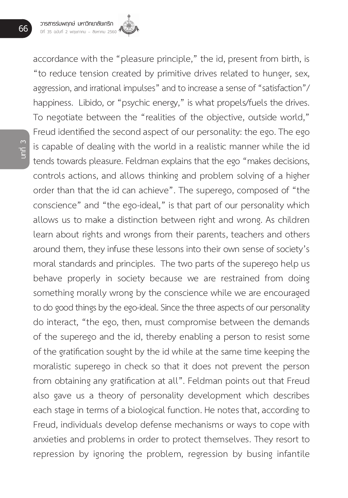

accordance with the "pleasure principle," the id, present from birth, is "to reduce tension created by primitive drives related to hunger, sex, aggression, and irrational impulses" and to increase a sense of "satisfaction"/ happiness. Libido, or "psychic energy," is what propels/fuels the drives. To negotiate between the "realities of the objective, outside world," Freud identified the second aspect of our personality: the ego. The ego is capable of dealing with the world in a realistic manner while the id tends towards pleasure. Feldman explains that the ego "makes decisions, controls actions, and allows thinking and problem solving of a higher order than that the id can achieve". The superego, composed of "the conscience" and "the ego-ideal," is that part of our personality which allows us to make a distinction between right and wrong. As children learn about rights and wrongs from their parents, teachers and others around them, they infuse these lessons into their own sense of society's moral standards and principles. The two parts of the superego help us behave properly in society because we are restrained from doing something morally wrong by the conscience while we are encouraged to do good things by the ego-ideal. Since the three aspects of our personality do interact, "the ego, then, must compromise between the demands of the superego and the id, thereby enabling a person to resist some of the gratification sought by the id while at the same time keeping the moralistic superego in check so that it does not prevent the person from obtaining any gratification at all". Feldman points out that Freud also gave us a theory of personality development which describes each stage in terms of a biological function. He notes that, according to Freud, individuals develop defense mechanisms or ways to cope with anxieties and problems in order to protect themselves. They resort to repression by ignoring the problem, regression by busing infantile

**บทที่ 3**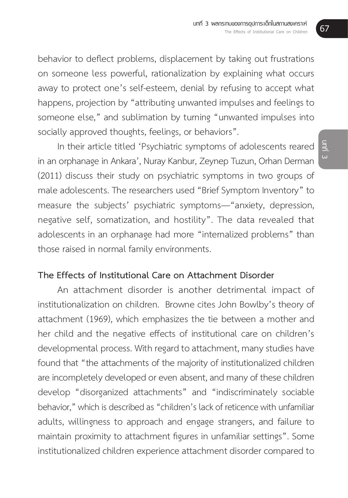behavior to deflect problems, displacement by taking out frustrations on someone less powerful, rationalization by explaining what occurs away to protect one's self-esteem, denial by refusing to accept what happens, projection by "attributing unwanted impulses and feelings to someone else," and sublimation by turning "unwanted impulses into socially approved thoughts, feelings, or behaviors".

In their article titled 'Psychiatric symptoms of adolescents reared in an orphanage in Ankara', Nuray Kanbur, Zeynep Tuzun, Orhan Derman (2011) discuss their study on psychiatric symptoms in two groups of male adolescents. The researchers used "Brief Symptom Inventory" to measure the subjects' psychiatric symptoms—"anxiety, depression, negative self, somatization, and hostility". The data revealed that adolescents in an orphanage had more "internalized problems" than those raised in normal family environments.

#### **The Effects of Institutional Care on Attachment Disorder**

An attachment disorder is another detrimental impact of institutionalization on children. Browne cites John Bowlby's theory of attachment (1969), which emphasizes the tie between a mother and her child and the negative effects of institutional care on children's developmental process. With regard to attachment, many studies have found that "the attachments of the majority of institutionalized children are incompletely developed or even absent, and many of these children develop "disorganized attachments" and "indiscriminately sociable behavior," which is described as "children's lack of reticence with unfamiliar adults, willingness to approach and engage strangers, and failure to maintain proximity to attachment figures in unfamiliar settings". Some institutionalized children experience attachment disorder compared to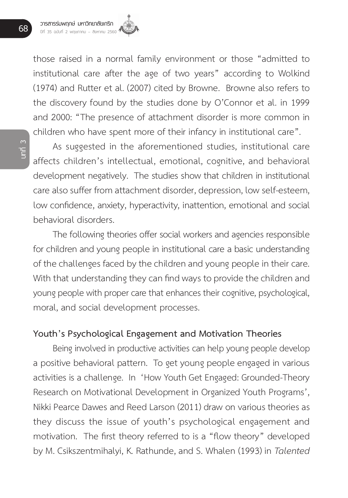

those raised in a normal family environment or those "admitted to institutional care after the age of two years" according to Wolkind (1974) and Rutter et al. (2007) cited by Browne. Browne also refers to the discovery found by the studies done by O'Connor et al. in 1999 and 2000: "The presence of attachment disorder is more common in children who have spent more of their infancy in institutional care".

As suggested in the aforementioned studies, institutional care affects children's intellectual, emotional, cognitive, and behavioral development negatively. The studies show that children in institutional care also suffer from attachment disorder, depression, low self-esteem, low confidence, anxiety, hyperactivity, inattention, emotional and social behavioral disorders.

The following theories offer social workers and agencies responsible for children and young people in institutional care a basic understanding of the challenges faced by the children and young people in their care. With that understanding they can find ways to provide the children and young people with proper care that enhances their cognitive, psychological, moral, and social development processes.

#### **Youth's Psychological Engagement and Motivation Theories**

Being involved in productive activities can help young people develop a positive behavioral pattern. To get young people engaged in various activities is a challenge. In 'How Youth Get Engaged: Grounded-Theory Research on Motivational Development in Organized Youth Programs', Nikki Pearce Dawes and Reed Larson (2011) draw on various theories as they discuss the issue of youth's psychological engagement and motivation. The first theory referred to is a "flow theory" developed by M. Csikszentmihalyi, K. Rathunde, and S. Whalen (1993) in *Talented*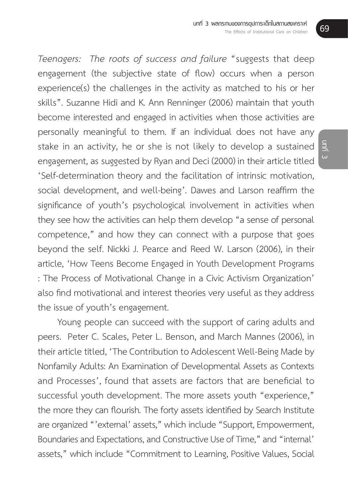*Teenagers: The roots of success and failure* "suggests that deep engagement (the subjective state of flow) occurs when a person experience(s) the challenges in the activity as matched to his or her skills". Suzanne Hidi and K. Ann Renninger (2006) maintain that youth become interested and engaged in activities when those activities are personally meaningful to them. If an individual does not have any stake in an activity, he or she is not likely to develop a sustained engagement, as suggested by Ryan and Deci (2000) in their article titled 'Self-determination theory and the facilitation of intrinsic motivation, social development, and well-being'. Dawes and Larson reaffirm the significance of youth's psychological involvement in activities when they see how the activities can help them develop "a sense of personal competence," and how they can connect with a purpose that goes beyond the self. Nickki J. Pearce and Reed W. Larson (2006), in their article, 'How Teens Become Engaged in Youth Development Programs : The Process of Motivational Change in a Civic Activism Organization' also find motivational and interest theories very useful as they address the issue of youth's engagement.

Young people can succeed with the support of caring adults and peers. Peter C. Scales, Peter L. Benson, and March Mannes (2006), in their article titled, 'The Contribution to Adolescent Well-Being Made by Nonfamily Adults: An Examination of Developmental Assets as Contexts and Processes', found that assets are factors that are beneficial to successful youth development. The more assets youth "experience," the more they can flourish. The forty assets identified by Search Institute are organized "'external' assets," which include "Support, Empowerment, Boundaries and Expectations, and Constructive Use of Time," and "internal' assets," which include "Commitment to Learning, Positive Values, Social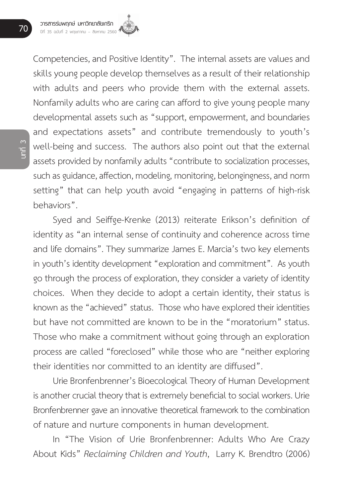Competencies, and Positive Identity". The internal assets are values and skills young people develop themselves as a result of their relationship with adults and peers who provide them with the external assets. Nonfamily adults who are caring can afford to give young people many developmental assets such as "support, empowerment, and boundaries and expectations assets" and contribute tremendously to youth's well-being and success. The authors also point out that the external assets provided by nonfamily adults "contribute to socialization processes, such as guidance, affection, modeling, monitoring, belongingness, and norm setting" that can help youth avoid "engaging in patterns of high-risk behaviors".

Syed and Seiffge-Krenke (2013) reiterate Erikson's definition of identity as "an internal sense of continuity and coherence across time and life domains". They summarize James E. Marcia's two key elements in youth's identity development "exploration and commitment". As youth go through the process of exploration, they consider a variety of identity choices. When they decide to adopt a certain identity, their status is known as the "achieved" status. Those who have explored their identities but have not committed are known to be in the "moratorium" status. Those who make a commitment without going through an exploration process are called "foreclosed" while those who are "neither exploring their identities nor committed to an identity are diffused".

Urie Bronfenbrenner's Bioecological Theory of Human Development is another crucial theory that is extremely beneficial to social workers. Urie Bronfenbrenner gave an innovative theoretical framework to the combination of nature and nurture components in human development.

In "The Vision of Urie Bronfenbrenner: Adults Who Are Crazy About Kids" *Reclaiming Children and Youth*, Larry K. Brendtro (2006)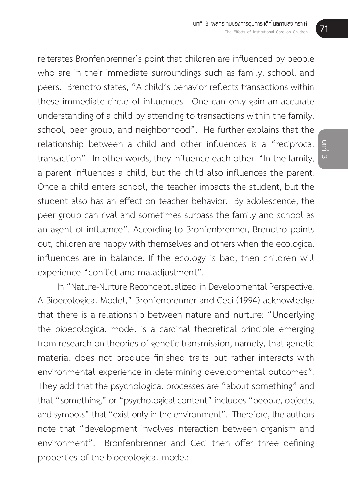reiterates Bronfenbrenner's point that children are influenced by people who are in their immediate surroundings such as family, school, and peers. Brendtro states, "A child's behavior reflects transactions within these immediate circle of influences. One can only gain an accurate understanding of a child by attending to transactions within the family, school, peer group, and neighborhood". He further explains that the relationship between a child and other influences is a "reciprocal transaction". In other words, they influence each other. "In the family, a parent influences a child, but the child also influences the parent. Once a child enters school, the teacher impacts the student, but the student also has an effect on teacher behavior. By adolescence, the peer group can rival and sometimes surpass the family and school as an agent of influence". According to Bronfenbrenner, Brendtro points out, children are happy with themselves and others when the ecological influences are in balance. If the ecology is bad, then children will experience "conflict and maladjustment".

In "Nature-Nurture Reconceptualized in Developmental Perspective: A Bioecological Model," Bronfenbrenner and Ceci (1994) acknowledge that there is a relationship between nature and nurture: "Underlying the bioecological model is a cardinal theoretical principle emerging from research on theories of genetic transmission, namely, that genetic material does not produce finished traits but rather interacts with environmental experience in determining developmental outcomes". They add that the psychological processes are "about something" and that "something," or "psychological content" includes "people, objects, and symbols" that "exist only in the environment". Therefore, the authors note that "development involves interaction between organism and environment". Bronfenbrenner and Ceci then offer three defining properties of the bioecological model: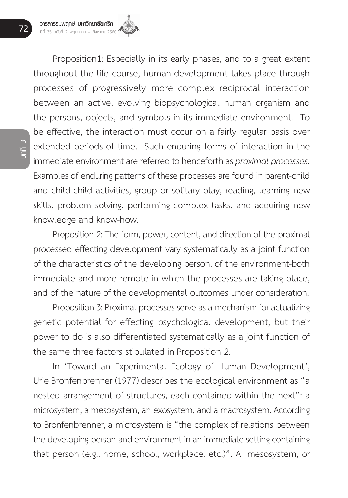

Proposition1: Especially in its early phases, and to a great extent throughout the life course, human development takes place through processes of progressively more complex reciprocal interaction between an active, evolving biopsychological human organism and the persons, objects, and symbols in its immediate environment. To be effective, the interaction must occur on a fairly regular basis over extended periods of time. Such enduring forms of interaction in the immediate environment are referred to henceforth as *proximal processes.* Examples of enduring patterns of these processes are found in parent-child and child-child activities, group or solitary play, reading, learning new skills, problem solving, performing complex tasks, and acquiring new knowledge and know-how.

Proposition 2: The form, power, content, and direction of the proximal processed effecting development vary systematically as a joint function of the characteristics of the developing person, of the environment-both immediate and more remote-in which the processes are taking place, and of the nature of the developmental outcomes under consideration.

Proposition 3: Proximal processes serve as a mechanism for actualizing genetic potential for effecting psychological development, but their power to do is also differentiated systematically as a joint function of the same three factors stipulated in Proposition 2.

In 'Toward an Experimental Ecology of Human Development', Urie Bronfenbrenner (1977) describes the ecological environment as "a nested arrangement of structures, each contained within the next": a microsystem, a mesosystem, an exosystem, and a macrosystem. According to Bronfenbrenner, a microsystem is "the complex of relations between the developing person and environment in an immediate setting containing that person (e.g., home, school, workplace, etc.)". A mesosystem, or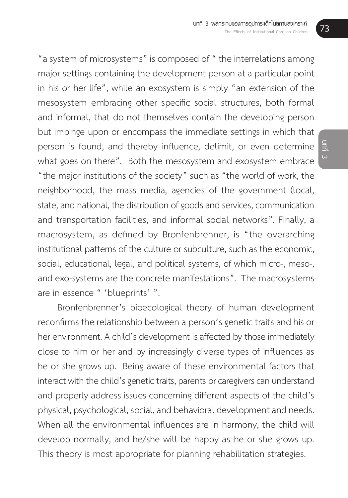"a system of microsystems" is composed of " the interrelations among major settings containing the development person at a particular point in his or her life", while an exosystem is simply "an extension of the mesosystem embracing other specific social structures, both formal and informal, that do not themselves contain the developing person but impinge upon or encompass the immediate settings in which that person is found, and thereby influence, delimit, or even determine what goes on there". Both the mesosystem and exosystem embrace "the major institutions of the society" such as "the world of work, the neighborhood, the mass media, agencies of the government (local, state, and national, the distribution of goods and services, communication and transportation facilities, and informal social networks". Finally, a macrosystem, as defined by Bronfenbrenner, is "the overarching institutional patterns of the culture or subculture, such as the economic, social, educational, legal, and political systems, of which micro-, meso-, and exo-systems are the concrete manifestations". The macrosystems are in essence " 'blueprints' ".

Bronfenbrenner's bioecological theory of human development reconfirms the relationship between a person's genetic traits and his or her environment. A child's development is affected by those immediately close to him or her and by increasingly diverse types of influences as he or she grows up. Being aware of these environmental factors that interact with the child's genetic traits, parents or caregivers can understand and properly address issues concerning different aspects of the child's physical, psychological, social, and behavioral development and needs. When all the environmental influences are in harmony, the child will develop normally, and he/she will be happy as he or she grows up. This theory is most appropriate for planning rehabilitation strategies.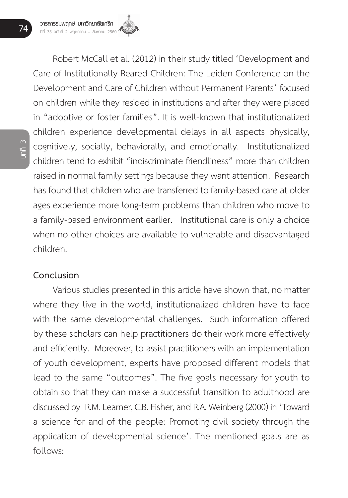Robert McCall et al. (2012) in their study titled 'Development and Care of Institutionally Reared Children: The Leiden Conference on the Development and Care of Children without Permanent Parents' focused on children while they resided in institutions and after they were placed in "adoptive or foster families". It is well-known that institutionalized children experience developmental delays in all aspects physically, cognitively, socially, behaviorally, and emotionally. Institutionalized children tend to exhibit "indiscriminate friendliness" more than children raised in normal family settings because they want attention. Research has found that children who are transferred to family-based care at older ages experience more long-term problems than children who move to a family-based environment earlier. Institutional care is only a choice when no other choices are available to vulnerable and disadvantaged children.

#### **Conclusion**

Various studies presented in this article have shown that, no matter where they live in the world, institutionalized children have to face with the same developmental challenges. Such information offered by these scholars can help practitioners do their work more effectively and efficiently. Moreover, to assist practitioners with an implementation of youth development, experts have proposed different models that lead to the same "outcomes". The five goals necessary for youth to obtain so that they can make a successful transition to adulthood are discussed by R.M. Learner, C.B. Fisher, and R.A. Weinberg (2000) in 'Toward a science for and of the people: Promoting civil society through the application of developmental science'. The mentioned goals are as follows: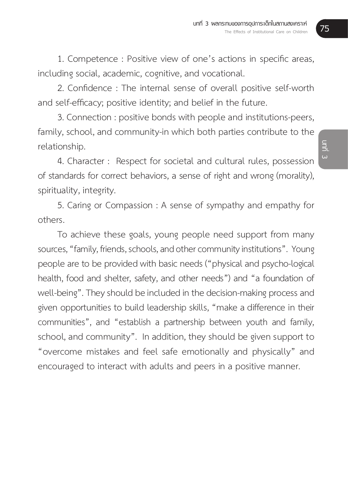1. Competence : Positive view of one's actions in specific areas, including social, academic, cognitive, and vocational.

2. Confidence : The internal sense of overall positive self-worth and self-efficacy; positive identity; and belief in the future.

3. Connection : positive bonds with people and institutions-peers, family, school, and community-in which both parties contribute to the relationship.

4. Character : Respect for societal and cultural rules, possession of standards for correct behaviors, a sense of right and wrong (morality), spirituality, integrity.

5. Caring or Compassion : A sense of sympathy and empathy for others.

To achieve these goals, young people need support from many sources, "family, friends, schools, and other community institutions". Young people are to be provided with basic needs ("physical and psycho-logical health, food and shelter, safety, and other needs") and "a foundation of well-being". They should be included in the decision-making process and given opportunities to build leadership skills, "make a difference in their communities", and "establish a partnership between youth and family, school, and community". In addition, they should be given support to "overcome mistakes and feel safe emotionally and physically" and encouraged to interact with adults and peers in a positive manner.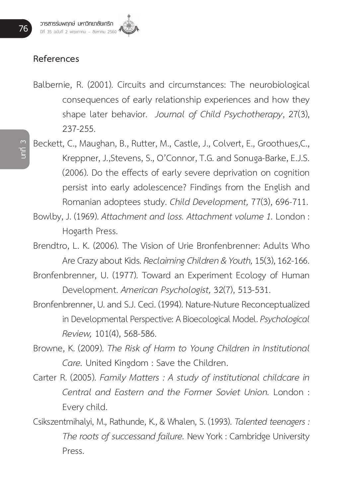#### **References**

- Balbernie, R. (2001). Circuits and circumstances: The neurobiological consequences of early relationship experiences and how they shape later behavior. *Journal of Child Psychotherapy*, 27(3), 237-255.
- Beckett, C., Maughan, B., Rutter, M., Castle, J., Colvert, E., Groothues,C., Kreppner, J.,Stevens, S., O'Connor, T.G. and Sonuga-Barke, E.J.S. (2006). Do the effects of early severe deprivation on cognition persist into early adolescence? Findings from the English and Romanian adoptees study. *Child Development,* 77(3), 696-711.
- Bowlby, J. (1969). *Attachment and loss. Attachment volume 1.* London : Hogarth Press.
- Brendtro, L. K. (2006). The Vision of Urie Bronfenbrenner: Adults Who Are Crazy about Kids. *Reclaiming Children & Youth,* 15(3), 162-166.
- Bronfenbrenner, U. (1977). Toward an Experiment Ecology of Human Development. *American Psychologist,* 32(7), 513-531.
- Bronfenbrenner, U. and S.J. Ceci. (1994). Nature-Nuture Reconceptualized in Developmental Perspective: A Bioecological Model. *Psychological Review,* 101(4), 568-586.
- Browne, K. (2009). *The Risk of Harm to Young Children in Institutional Care.* United Kingdom : Save the Children.
- Carter R. (2005). *Family Matters : A study of institutional childcare in Central and Eastern and the Former Soviet Union.* London : Every child.
- Csikszentmihalyi, M., Rathunde, K., & Whalen, S. (1993). *Talented teenagers : The roots of successand failure.* New York : Cambridge University Press.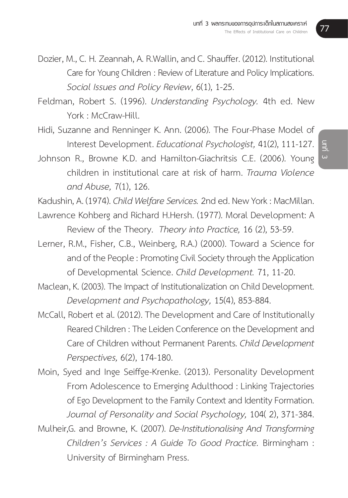- Dozier, M., C. H. Zeannah, A. R.Wallin, and C. Shauffer. (2012). Institutional Care for Young Children : Review of Literature and Policy Implications. *Social Issues and Policy Review*, 6(1), 1-25.
- Feldman, Robert S. (1996). *Understanding Psychology.* 4th ed. New York : McCraw-Hill.
- Hidi, Suzanne and Renninger K. Ann. (2006). The Four-Phase Model of Interest Development. *Educational Psychologist,* 41(2), 111-127.
- Johnson R., Browne K.D. and Hamilton-Giachritsis C.E. (2006). Young children in institutional care at risk of harm. *Trauma Violence and Abuse,* 7(1), 126.

Kadushin, A. (1974). *Child Welfare Services.* 2nd ed. New York : MacMillan.

- Lawrence Kohberg and Richard H.Hersh. (1977). Moral Development: A Review of the Theory. *Theory into Practice,* 16 (2), 53-59.
- Lerner, R.M., Fisher, C.B., Weinberg, R.A.) (2000). Toward a Science for and of the People : Promoting Civil Society through the Application of Developmental Science. *Child Development.* 71, 11-20.
- Maclean, K. (2003). The Impact of Institutionalization on Child Development. *Development and Psychopathology,* 15(4), 853-884.
- McCall, Robert et al. (2012). The Development and Care of Institutionally Reared Children : The Leiden Conference on the Development and Care of Children without Permanent Parents. *Child Development Perspectives,* 6(2), 174-180.
- Moin, Syed and Inge Seiffge-Krenke. (2013). Personality Development From Adolescence to Emerging Adulthood : Linking Trajectories of Ego Development to the Family Context and Identity Formation. *Journal of Personality and Social Psychology,* 104( 2), 371-384.
- Mulheir,G. and Browne, K. (2007). *De-Institutionalising And Transforming Children's Services : A Guide To Good Practice.* Birmingham : University of Birmingham Press.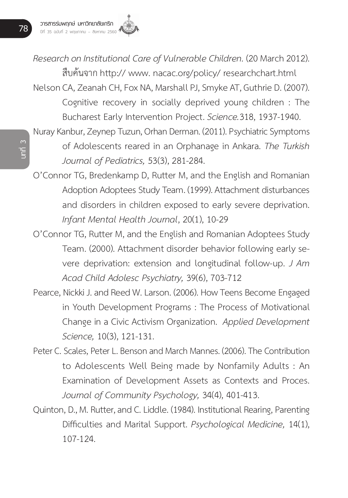

*Research on Institutional Care of Vulnerable Children.* (20 March 2012). สืบค้นจาก http:// www. nacac.org/policy/ researchchart.html Nelson CA, Zeanah CH, Fox NA, Marshall PJ, Smyke AT, Guthrie D. (2007).

Cognitive recovery in socially deprived young children : The Bucharest Early Intervention Project. *Science.*318, 1937-1940.

- Nuray Kanbur, Zeynep Tuzun, Orhan Derman. (2011). Psychiatric Symptoms of Adolescents reared in an Orphanage in Ankara. *The Turkish Journal of Pediatrics,* 53(3), 281-284.
- O'Connor TG, Bredenkamp D, Rutter M, and the English and Romanian Adoption Adoptees Study Team. (1999). Attachment disturbances and disorders in children exposed to early severe deprivation. *Infant Mental Health Journal*, 20(1), 10-29
- O'Connor TG, Rutter M, and the English and Romanian Adoptees Study Team. (2000). Attachment disorder behavior following early severe deprivation: extension and longitudinal follow-up. *J Am Acad Child Adolesc Psychiatry,* 39(6), 703-712
- Pearce, Nickki J. and Reed W. Larson. (2006). How Teens Become Engaged in Youth Development Programs : The Process of Motivational Change in a Civic Activism Organization. *Applied Development Science,* 10(3), 121-131.
- Peter C. Scales, Peter L. Benson and March Mannes. (2006). The Contribution to Adolescents Well Being made by Nonfamily Adults : An Examination of Development Assets as Contexts and Proces. *Journal of Community Psychology,* 34(4), 401-413.
- Quinton, D., M. Rutter, and C. Liddle. (1984). Institutional Rearing, Parenting Difficulties and Marital Support. *Psychological Medicine,* 14(1), 107-124.

**บทที่ 3**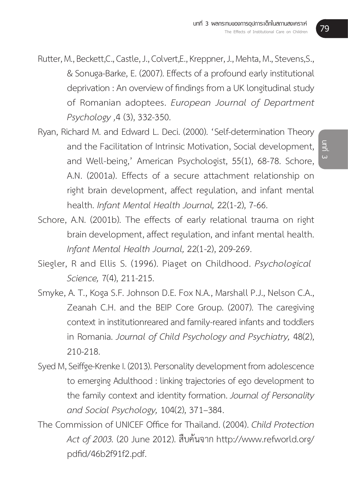Rutter, M., Beckett,C., Castle, J., Colvert,E., Kreppner, J., Mehta, M., Stevens,S., & Sonuga-Barke, E. (2007). Effects of a profound early institutional deprivation : An overview of findings from a UK longitudinal study of Romanian adoptees. *European Journal of Department Psychology ,*4 (3), 332-350.

- Ryan, Richard M. and Edward L. Deci. (2000). 'Self-determination Theory and the Facilitation of Intrinsic Motivation, Social development, and Well-being,' American Psychologist, 55(1), 68-78. Schore, A.N. (2001a). Effects of a secure attachment relationship on right brain development, affect regulation, and infant mental health. *Infant Mental Health Journal,* 22(1-2), 7-66.
- Schore, A.N. (2001b). The effects of early relational trauma on right brain development, affect regulation, and infant mental health. *Infant Mental Health Journal,* 22(1-2), 209-269.
- Siegler, R and Ellis S. (1996). Piaget on Childhood. *Psychological Science,* 7(4), 211-215.
- Smyke, A. T., Koga S.F. Johnson D.E. Fox N.A., Marshall P.J., Nelson C.A., Zeanah C.H. and the BEIP Core Group. (2007). The caregiving context in institutionreared and family-reared infants and toddlers in Romania. *Journal of Child Psychology and Psychiatry,* 48(2), 210-218.
- Syed M, Seiffge-Krenke I. (2013). Personality development from adolescence to emerging Adulthood : linking trajectories of ego development to the family context and identity formation. *Journal of Personality and Social Psychology,* 104(2), 371–384.
- The Commission of UNICEF Office for Thailand. (2004). *Child Protection Act of 2003.* (20 June 2012). สืบค้นจาก http://www.refworld.org/ pdfid/46b2f91f2.pdf.